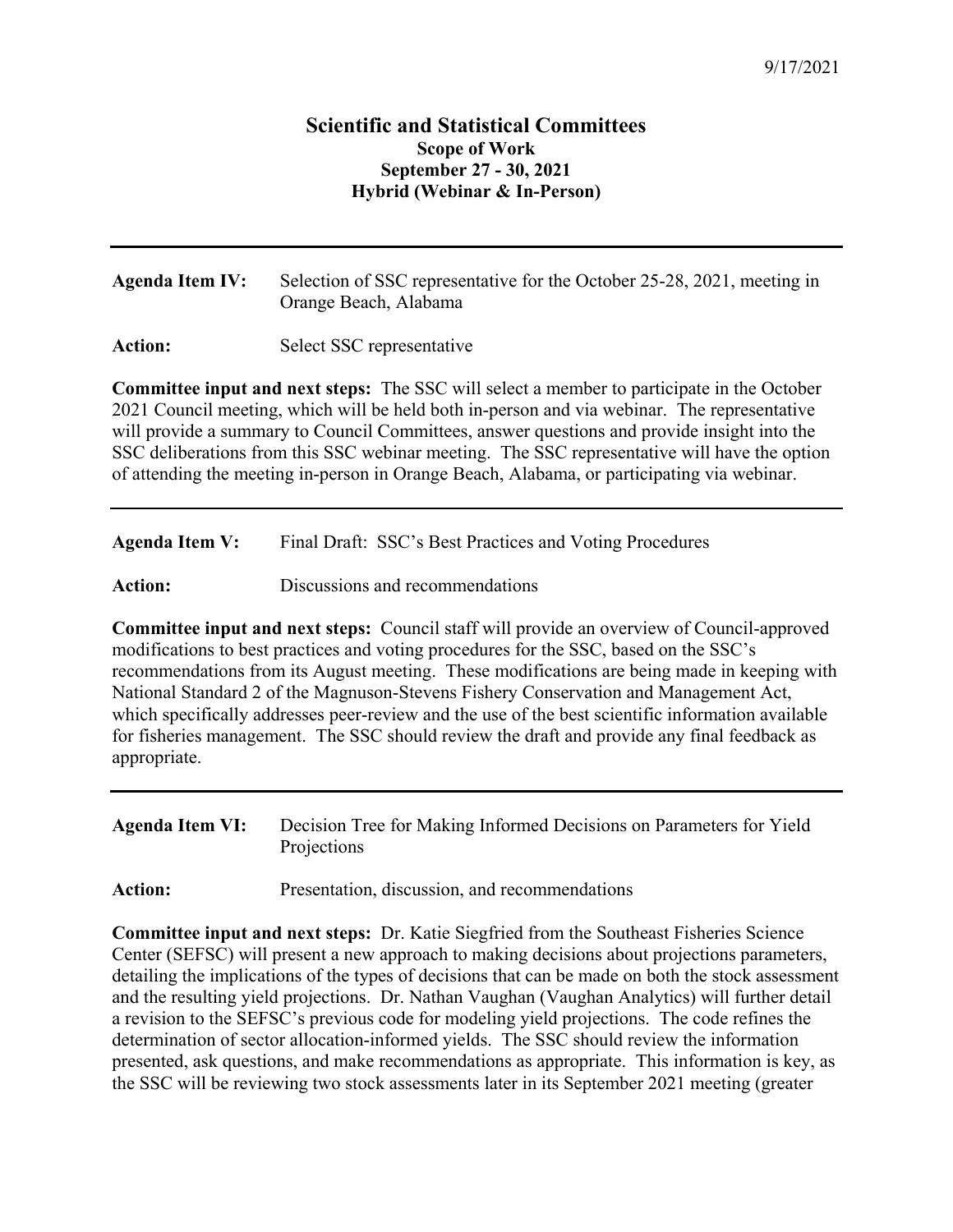## **Scientific and Statistical Committees Scope of Work September 27 - 30, 2021 Hybrid (Webinar & In-Person)**

**Agenda Item IV:** Selection of SSC representative for the October 25-28, 2021, meeting in Orange Beach, Alabama

Action: Select SSC representative

**Committee input and next steps:** The SSC will select a member to participate in the October 2021 Council meeting, which will be held both in-person and via webinar. The representative will provide a summary to Council Committees, answer questions and provide insight into the SSC deliberations from this SSC webinar meeting. The SSC representative will have the option of attending the meeting in-person in Orange Beach, Alabama, or participating via webinar.

**Agenda Item V:** Final Draft: SSC's Best Practices and Voting Procedures

Action: Discussions and recommendations

**Committee input and next steps:** Council staff will provide an overview of Council-approved modifications to best practices and voting procedures for the SSC, based on the SSC's recommendations from its August meeting. These modifications are being made in keeping with National Standard 2 of the Magnuson-Stevens Fishery Conservation and Management Act, which specifically addresses peer-review and the use of the best scientific information available for fisheries management. The SSC should review the draft and provide any final feedback as appropriate.

**Agenda Item VI:** Decision Tree for Making Informed Decisions on Parameters for Yield Projections

Action: Presentation, discussion, and recommendations

**Committee input and next steps:** Dr. Katie Siegfried from the Southeast Fisheries Science Center (SEFSC) will present a new approach to making decisions about projections parameters, detailing the implications of the types of decisions that can be made on both the stock assessment and the resulting yield projections. Dr. Nathan Vaughan (Vaughan Analytics) will further detail a revision to the SEFSC's previous code for modeling yield projections. The code refines the determination of sector allocation-informed yields. The SSC should review the information presented, ask questions, and make recommendations as appropriate. This information is key, as the SSC will be reviewing two stock assessments later in its September 2021 meeting (greater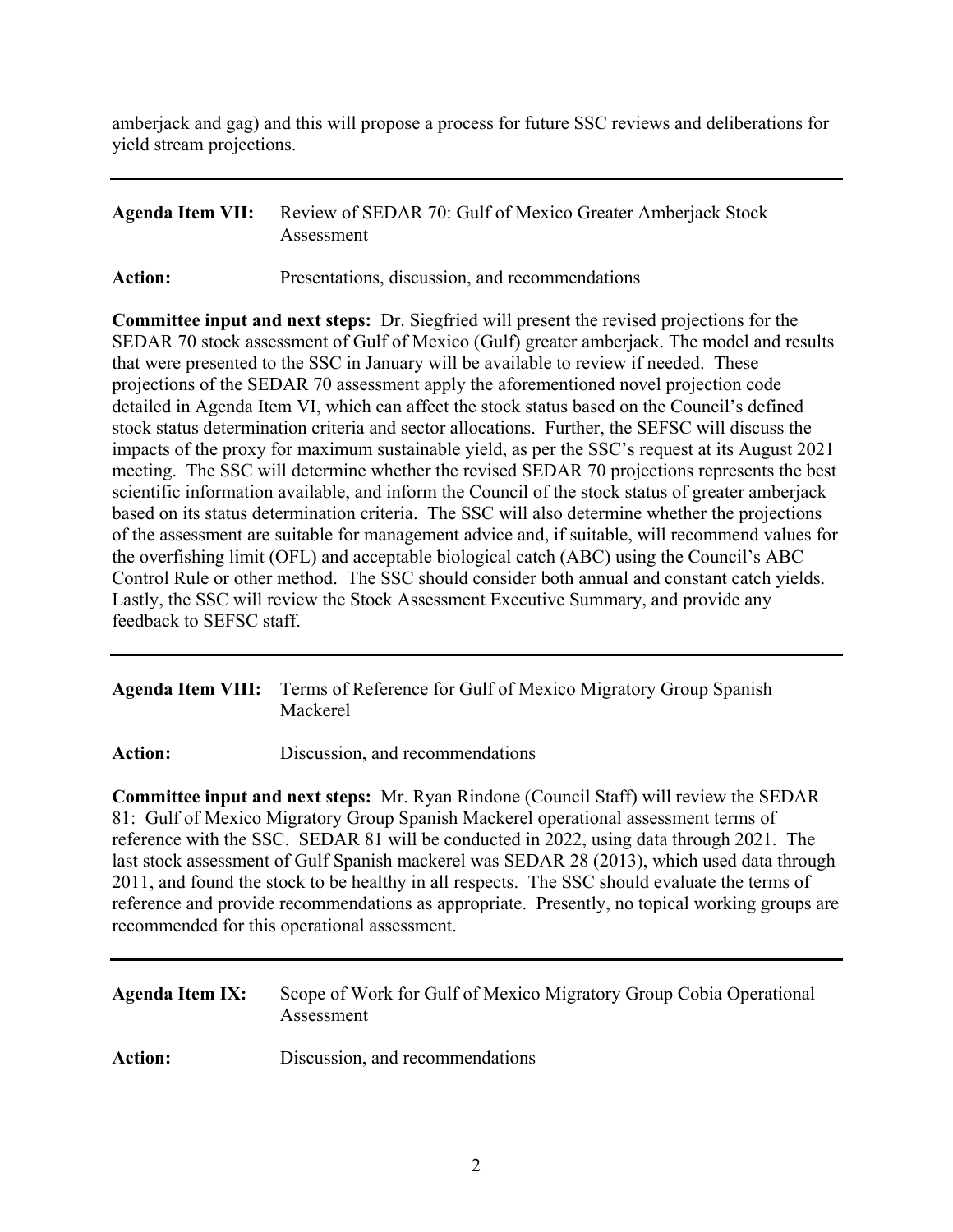amberjack and gag) and this will propose a process for future SSC reviews and deliberations for yield stream projections.

## **Agenda Item VII:** Review of SEDAR 70: Gulf of Mexico Greater Amberjack Stock Assessment

Action: Presentations, discussion, and recommendations

**Committee input and next steps:** Dr. Siegfried will present the revised projections for the SEDAR 70 stock assessment of Gulf of Mexico (Gulf) greater amberjack. The model and results that were presented to the SSC in January will be available to review if needed. These projections of the SEDAR 70 assessment apply the aforementioned novel projection code detailed in Agenda Item VI, which can affect the stock status based on the Council's defined stock status determination criteria and sector allocations. Further, the SEFSC will discuss the impacts of the proxy for maximum sustainable yield, as per the SSC's request at its August 2021 meeting. The SSC will determine whether the revised SEDAR 70 projections represents the best scientific information available, and inform the Council of the stock status of greater amberjack based on its status determination criteria. The SSC will also determine whether the projections of the assessment are suitable for management advice and, if suitable, will recommend values for the overfishing limit (OFL) and acceptable biological catch (ABC) using the Council's ABC Control Rule or other method. The SSC should consider both annual and constant catch yields. Lastly, the SSC will review the Stock Assessment Executive Summary, and provide any feedback to SEFSC staff.

## **Agenda Item VIII:** Terms of Reference for Gulf of Mexico Migratory Group Spanish Mackerel

Action: Discussion, and recommendations

**Committee input and next steps:** Mr. Ryan Rindone (Council Staff) will review the SEDAR 81: Gulf of Mexico Migratory Group Spanish Mackerel operational assessment terms of reference with the SSC. SEDAR 81 will be conducted in 2022, using data through 2021. The last stock assessment of Gulf Spanish mackerel was SEDAR 28 (2013), which used data through 2011, and found the stock to be healthy in all respects. The SSC should evaluate the terms of reference and provide recommendations as appropriate. Presently, no topical working groups are recommended for this operational assessment.

| <b>Agenda Item IX:</b> | Scope of Work for Gulf of Mexico Migratory Group Cobia Operational<br>Assessment |
|------------------------|----------------------------------------------------------------------------------|
| <b>Action:</b>         | Discussion, and recommendations                                                  |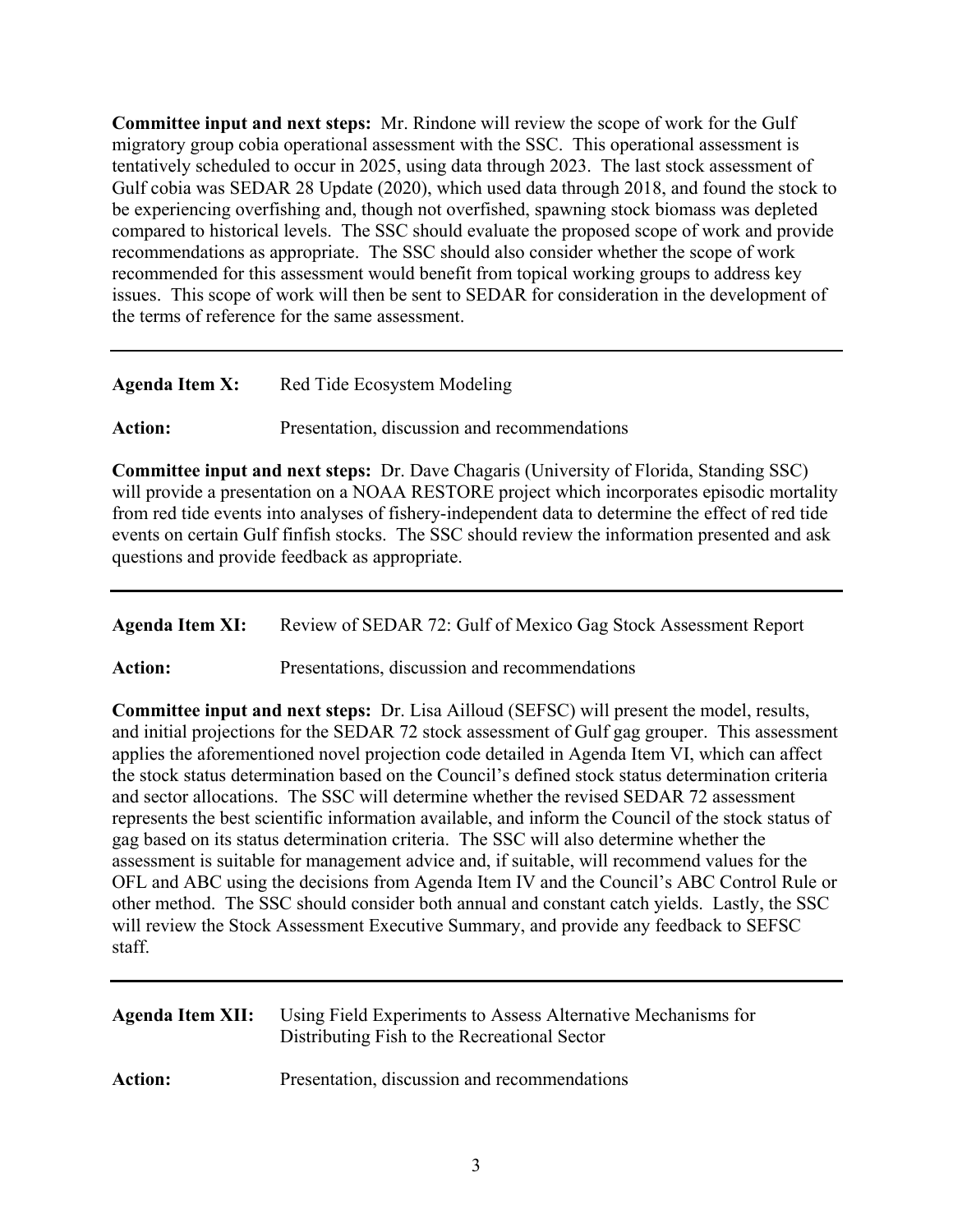**Committee input and next steps:** Mr. Rindone will review the scope of work for the Gulf migratory group cobia operational assessment with the SSC. This operational assessment is tentatively scheduled to occur in 2025, using data through 2023. The last stock assessment of Gulf cobia was SEDAR 28 Update (2020), which used data through 2018, and found the stock to be experiencing overfishing and, though not overfished, spawning stock biomass was depleted compared to historical levels. The SSC should evaluate the proposed scope of work and provide recommendations as appropriate. The SSC should also consider whether the scope of work recommended for this assessment would benefit from topical working groups to address key issues. This scope of work will then be sent to SEDAR for consideration in the development of the terms of reference for the same assessment.

| <b>Agenda Item X:</b> | Red Tide Ecosystem Modeling |  |
|-----------------------|-----------------------------|--|
|                       |                             |  |

Action: Presentation, discussion and recommendations

**Committee input and next steps:** Dr. Dave Chagaris (University of Florida, Standing SSC) will provide a presentation on a NOAA RESTORE project which incorporates episodic mortality from red tide events into analyses of fishery-independent data to determine the effect of red tide events on certain Gulf finfish stocks. The SSC should review the information presented and ask questions and provide feedback as appropriate.

Agenda Item XI: Review of SEDAR 72: Gulf of Mexico Gag Stock Assessment Report

Action: Presentations, discussion and recommendations

**Committee input and next steps:** Dr. Lisa Ailloud (SEFSC) will present the model, results, and initial projections for the SEDAR 72 stock assessment of Gulf gag grouper. This assessment applies the aforementioned novel projection code detailed in Agenda Item VI, which can affect the stock status determination based on the Council's defined stock status determination criteria and sector allocations. The SSC will determine whether the revised SEDAR 72 assessment represents the best scientific information available, and inform the Council of the stock status of gag based on its status determination criteria. The SSC will also determine whether the assessment is suitable for management advice and, if suitable, will recommend values for the OFL and ABC using the decisions from Agenda Item IV and the Council's ABC Control Rule or other method. The SSC should consider both annual and constant catch yields. Lastly, the SSC will review the Stock Assessment Executive Summary, and provide any feedback to SEFSC staff.

| Agenda Item XII: | Using Field Experiments to Assess Alternative Mechanisms for<br>Distributing Fish to the Recreational Sector |
|------------------|--------------------------------------------------------------------------------------------------------------|
| <b>Action:</b>   | Presentation, discussion and recommendations                                                                 |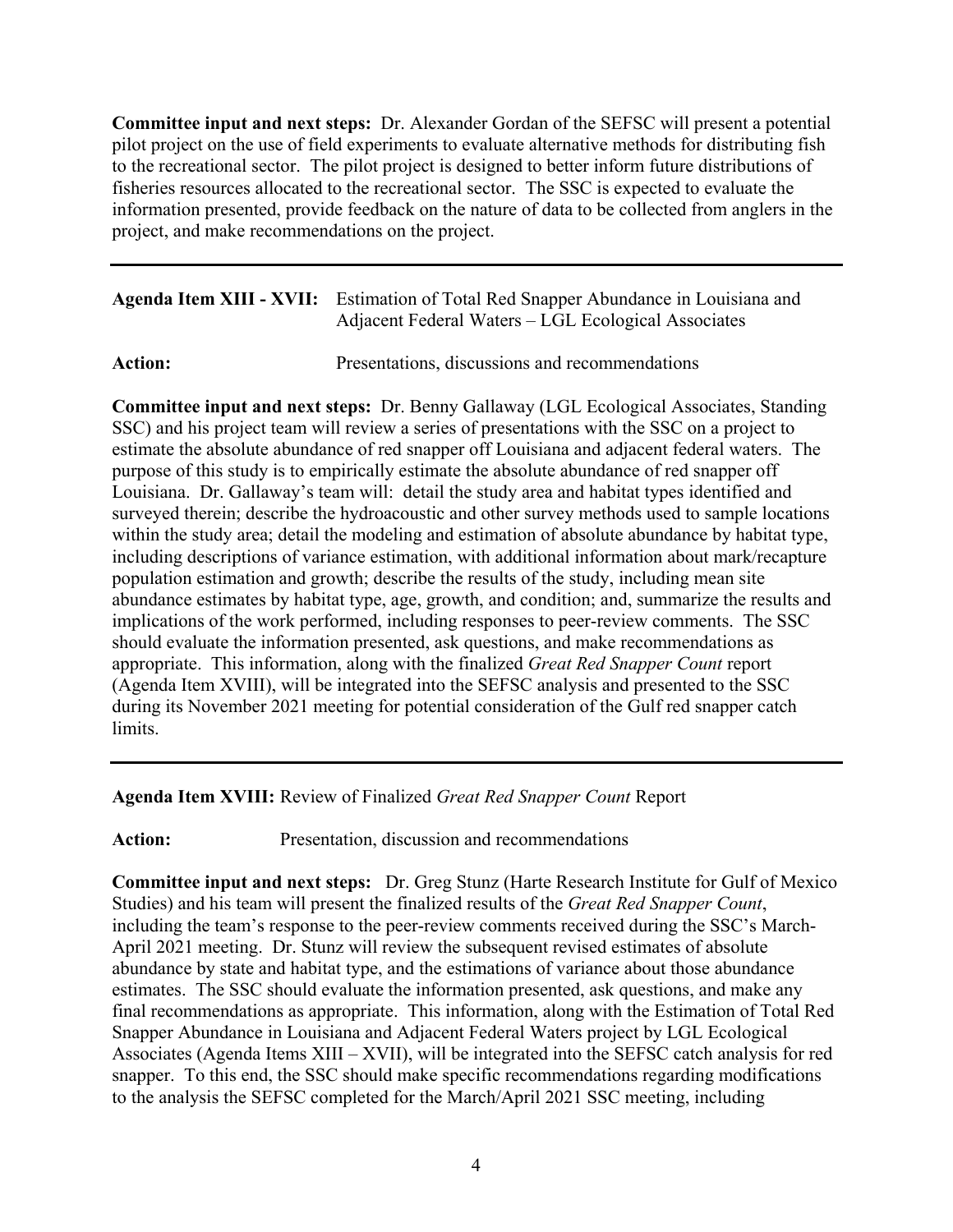**Committee input and next steps:** Dr. Alexander Gordan of the SEFSC will present a potential pilot project on the use of field experiments to evaluate alternative methods for distributing fish to the recreational sector. The pilot project is designed to better inform future distributions of fisheries resources allocated to the recreational sector. The SSC is expected to evaluate the information presented, provide feedback on the nature of data to be collected from anglers in the project, and make recommendations on the project.

| Agenda Item XIII - XVII: Estimation of Total Red Snapper Abundance in Louisiana and |
|-------------------------------------------------------------------------------------|
| Adjacent Federal Waters – LGL Ecological Associates                                 |

Action: Presentations, discussions and recommendations

**Committee input and next steps:** Dr. Benny Gallaway (LGL Ecological Associates, Standing SSC) and his project team will review a series of presentations with the SSC on a project to estimate the absolute abundance of red snapper off Louisiana and adjacent federal waters. The purpose of this study is to empirically estimate the absolute abundance of red snapper off Louisiana. Dr. Gallaway's team will: detail the study area and habitat types identified and surveyed therein; describe the hydroacoustic and other survey methods used to sample locations within the study area; detail the modeling and estimation of absolute abundance by habitat type, including descriptions of variance estimation, with additional information about mark/recapture population estimation and growth; describe the results of the study, including mean site abundance estimates by habitat type, age, growth, and condition; and, summarize the results and implications of the work performed, including responses to peer-review comments. The SSC should evaluate the information presented, ask questions, and make recommendations as appropriate. This information, along with the finalized *Great Red Snapper Count* report (Agenda Item XVIII), will be integrated into the SEFSC analysis and presented to the SSC during its November 2021 meeting for potential consideration of the Gulf red snapper catch limits.

**Agenda Item XVIII:** Review of Finalized *Great Red Snapper Count* Report

Action: Presentation, discussion and recommendations

**Committee input and next steps:** Dr. Greg Stunz (Harte Research Institute for Gulf of Mexico Studies) and his team will present the finalized results of the *Great Red Snapper Count*, including the team's response to the peer-review comments received during the SSC's March-April 2021 meeting. Dr. Stunz will review the subsequent revised estimates of absolute abundance by state and habitat type, and the estimations of variance about those abundance estimates. The SSC should evaluate the information presented, ask questions, and make any final recommendations as appropriate. This information, along with the Estimation of Total Red Snapper Abundance in Louisiana and Adjacent Federal Waters project by LGL Ecological Associates (Agenda Items XIII – XVII), will be integrated into the SEFSC catch analysis for red snapper. To this end, the SSC should make specific recommendations regarding modifications to the analysis the SEFSC completed for the March/April 2021 SSC meeting, including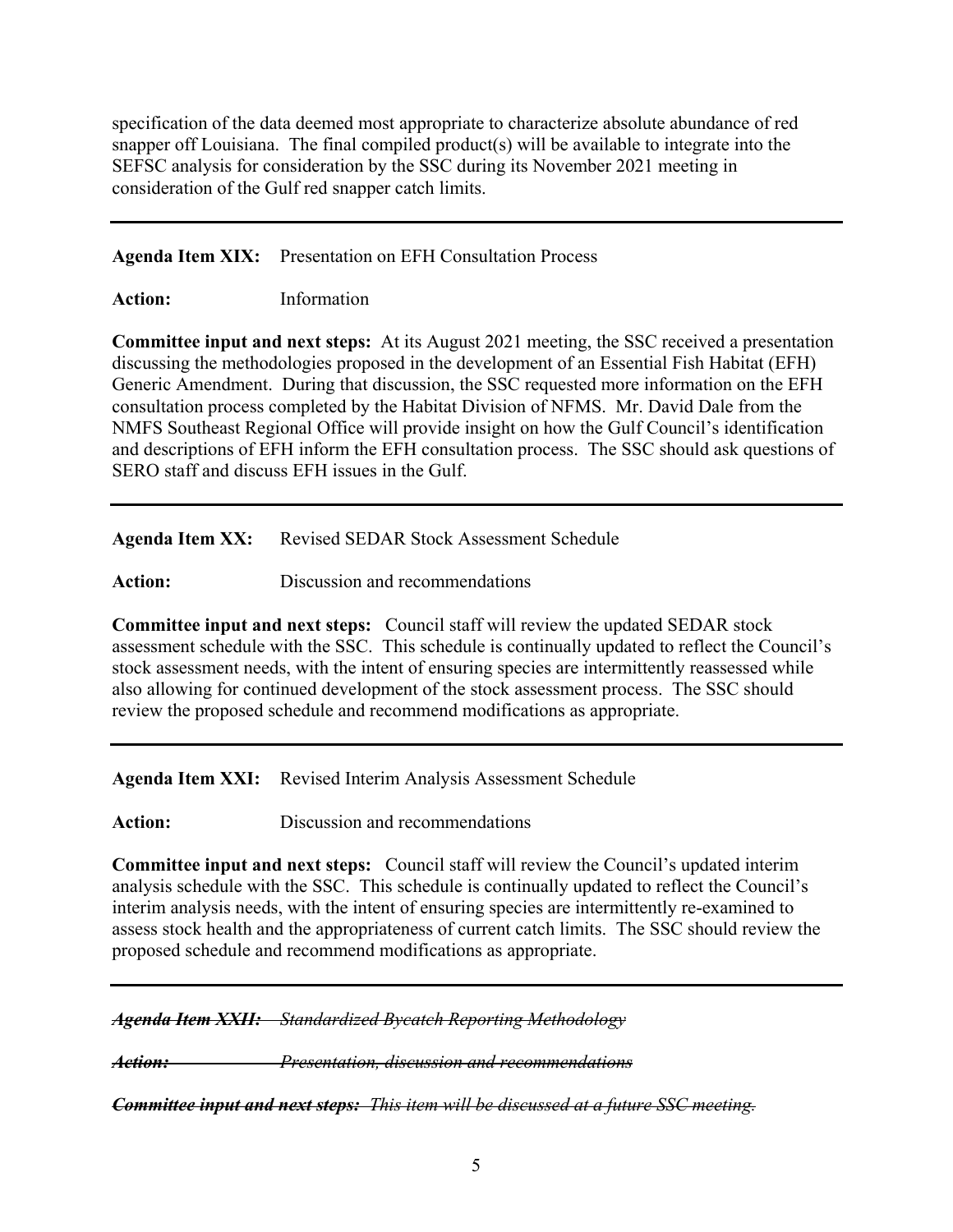specification of the data deemed most appropriate to characterize absolute abundance of red snapper off Louisiana. The final compiled product(s) will be available to integrate into the SEFSC analysis for consideration by the SSC during its November 2021 meeting in consideration of the Gulf red snapper catch limits.

**Agenda Item XIX:** Presentation on EFH Consultation Process

**Action:** Information

**Committee input and next steps:** At its August 2021 meeting, the SSC received a presentation discussing the methodologies proposed in the development of an Essential Fish Habitat (EFH) Generic Amendment. During that discussion, the SSC requested more information on the EFH consultation process completed by the Habitat Division of NFMS. Mr. David Dale from the NMFS Southeast Regional Office will provide insight on how the Gulf Council's identification and descriptions of EFH inform the EFH consultation process. The SSC should ask questions of SERO staff and discuss EFH issues in the Gulf.

Agenda Item XX: Revised SEDAR Stock Assessment Schedule

Action: Discussion and recommendations

**Committee input and next steps:** Council staff will review the updated SEDAR stock assessment schedule with the SSC. This schedule is continually updated to reflect the Council's stock assessment needs, with the intent of ensuring species are intermittently reassessed while also allowing for continued development of the stock assessment process. The SSC should review the proposed schedule and recommend modifications as appropriate.

**Agenda Item XXI:** Revised Interim Analysis Assessment Schedule

**Action:** Discussion and recommendations

**Committee input and next steps:** Council staff will review the Council's updated interim analysis schedule with the SSC. This schedule is continually updated to reflect the Council's interim analysis needs, with the intent of ensuring species are intermittently re-examined to assess stock health and the appropriateness of current catch limits. The SSC should review the proposed schedule and recommend modifications as appropriate.

*Agenda Item XXII: Standardized Bycatch Reporting Methodology*

*Action: Presentation, discussion and recommendations*

*Committee input and next steps: This item will be discussed at a future SSC meeting.*